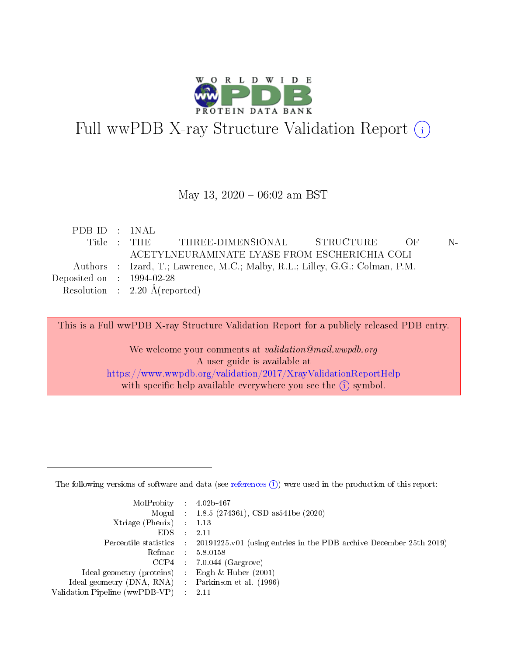

# Full wwPDB X-ray Structure Validation Report (i)

#### May 13,  $2020 - 06:02$  am BST

| PDB ID : 1NAL                        |                                                                              |  |  |  |  |  |  |  |
|--------------------------------------|------------------------------------------------------------------------------|--|--|--|--|--|--|--|
|                                      | Title : THE THREE-DIMENSIONAL STRUCTURE OF<br>N.                             |  |  |  |  |  |  |  |
|                                      | ACETYLNEURAMINATE LYASE FROM ESCHERICHIA COLI                                |  |  |  |  |  |  |  |
|                                      | Authors : Izard, T.; Lawrence, M.C.; Malby, R.L.; Lilley, G.G.; Colman, P.M. |  |  |  |  |  |  |  |
| Deposited on $\therefore$ 1994-02-28 |                                                                              |  |  |  |  |  |  |  |
|                                      | Resolution : $2.20 \text{ Å}$ (reported)                                     |  |  |  |  |  |  |  |

This is a Full wwPDB X-ray Structure Validation Report for a publicly released PDB entry.

We welcome your comments at validation@mail.wwpdb.org A user guide is available at <https://www.wwpdb.org/validation/2017/XrayValidationReportHelp> with specific help available everywhere you see the  $(i)$  symbol.

The following versions of software and data (see [references](https://www.wwpdb.org/validation/2017/XrayValidationReportHelp#references)  $(1)$ ) were used in the production of this report:

| $MolProbability$ : 4.02b-467                      |                              |                                                                                            |
|---------------------------------------------------|------------------------------|--------------------------------------------------------------------------------------------|
|                                                   |                              | Mogul : $1.8.5$ (274361), CSD as 541be (2020)                                              |
| Xtriage (Phenix) $: 1.13$                         |                              |                                                                                            |
| EDS –                                             | $\sim$                       | -2.11                                                                                      |
|                                                   |                              | Percentile statistics : 20191225.v01 (using entries in the PDB archive December 25th 2019) |
| Refmac : 5.8.0158                                 |                              |                                                                                            |
| CCP4                                              |                              | $7.0.044$ (Gargrove)                                                                       |
| Ideal geometry (proteins)                         | $\mathcal{L}_{\mathrm{eff}}$ | Engh & Huber $(2001)$                                                                      |
| Ideal geometry (DNA, RNA) Parkinson et al. (1996) |                              |                                                                                            |
| Validation Pipeline (wwPDB-VP) : 2.11             |                              |                                                                                            |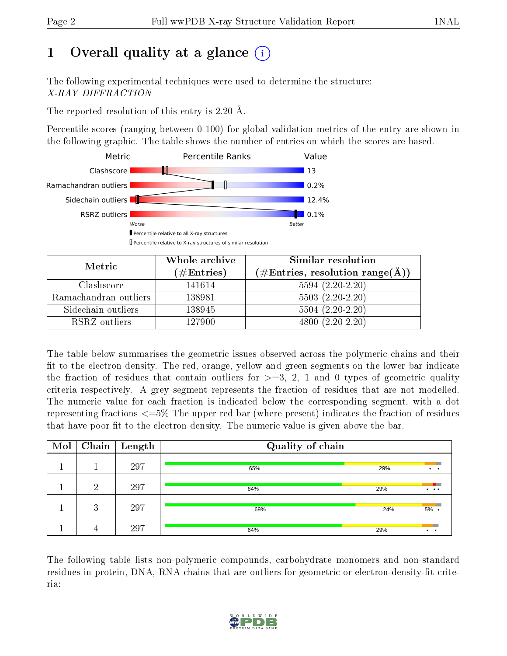# 1 [O](https://www.wwpdb.org/validation/2017/XrayValidationReportHelp#overall_quality)verall quality at a glance  $(i)$

The following experimental techniques were used to determine the structure: X-RAY DIFFRACTION

The reported resolution of this entry is 2.20 Å.

Percentile scores (ranging between 0-100) for global validation metrics of the entry are shown in the following graphic. The table shows the number of entries on which the scores are based.



| Metric                | Whole archive<br>(# $\rm{Entries}$ ) | Similar resolution<br>$(\# \text{Entries}, \text{resolution range}(\text{\AA}))$ |
|-----------------------|--------------------------------------|----------------------------------------------------------------------------------|
| Clashscore            | 141614                               | $5594(2.20-2.20)$                                                                |
| Ramachandran outliers | 138981                               | $5503(2.20-2.20)$                                                                |
| Sidechain outliers    | 138945                               | $5504 (2.20-2.20)$                                                               |
| RSRZ outliers         | 127900                               | 4800 $(2.20-2.20)$                                                               |

The table below summarises the geometric issues observed across the polymeric chains and their fit to the electron density. The red, orange, yellow and green segments on the lower bar indicate the fraction of residues that contain outliers for  $\geq=3$ , 2, 1 and 0 types of geometric quality criteria respectively. A grey segment represents the fraction of residues that are not modelled. The numeric value for each fraction is indicated below the corresponding segment, with a dot representing fractions <=5% The upper red bar (where present) indicates the fraction of residues that have poor fit to the electron density. The numeric value is given above the bar.

| Mol | Chain | $\vert$ Length | Quality of chain |     |                      |
|-----|-------|----------------|------------------|-----|----------------------|
|     |       | 297            | 65%              | 29% | $\ddot{\phantom{1}}$ |
|     | ച     | 297            | 64%              | 29% | $\cdots$             |
|     | 3     | 297            | 69%              | 24% | 5%                   |
|     |       | 297            | 64%              | 29% | $\cdot$ $\cdot$      |

The following table lists non-polymeric compounds, carbohydrate monomers and non-standard residues in protein, DNA, RNA chains that are outliers for geometric or electron-density-fit criteria:

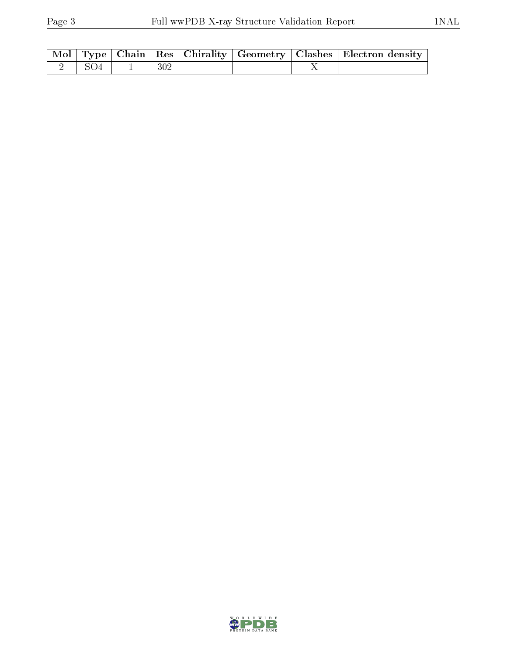|            |     |  | Mol   Type   Chain   Res   Chirality   Geometry   Clashes   Electron density |
|------------|-----|--|------------------------------------------------------------------------------|
| $-2$   SO4 | 302 |  |                                                                              |

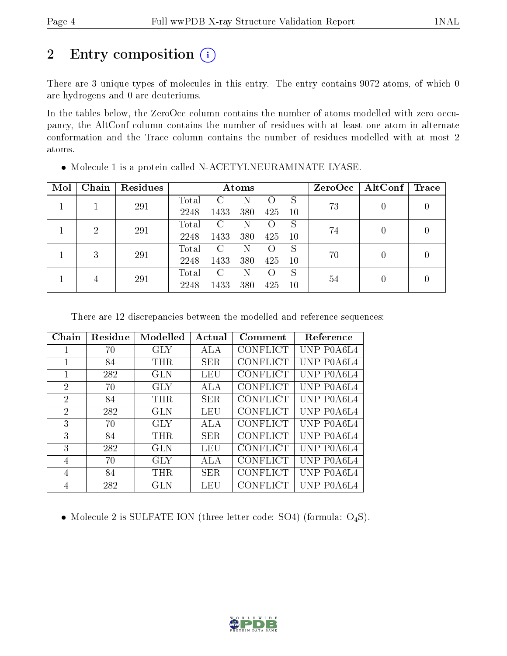# 2 Entry composition (i)

There are 3 unique types of molecules in this entry. The entry contains 9072 atoms, of which 0 are hydrogens and 0 are deuteriums.

In the tables below, the ZeroOcc column contains the number of atoms modelled with zero occupancy, the AltConf column contains the number of residues with at least one atom in alternate conformation and the Trace column contains the number of residues modelled with at most 2 atoms.

| Mol | Chain | Residues | Atoms |               |     |                  | ZeroOcc   | $\mathbf{AltConf}$ | $\operatorname{Trace}$ |  |
|-----|-------|----------|-------|---------------|-----|------------------|-----------|--------------------|------------------------|--|
|     |       | 291      | Total | $\mathcal{C}$ | N   |                  | S         | 73                 |                        |  |
|     |       |          | 2248  | 1433          | 380 | 425              | 10        |                    |                        |  |
|     | 2     | 291      | Total | C             | N   |                  | S         | 74                 |                        |  |
|     |       |          | 2248  | 1433          | 380 | 425              | <b>10</b> |                    |                        |  |
|     | 3     | 291      | Total | C             | N   |                  | S         | 70                 |                        |  |
|     |       |          | 2248  | 1433          | 380 | 425              | 10        |                    |                        |  |
|     |       |          | Total | $\mathcal C$  | N   | $\left( \right)$ | S         | 54                 |                        |  |
|     |       | 291<br>4 | 2248  | 1433          | 380 | 425              | 10        |                    |                        |  |

Molecule 1 is a protein called N-ACETYLNEURAMINATE LYASE.

There are 12 discrepancies between the modelled and reference sequences:

| Chain          | Residue | Modelled   | Actual     | Comment         | Reference  |
|----------------|---------|------------|------------|-----------------|------------|
| 1              | 70      | GLY        | ALA        | CONFLICT        | UNP P0A6L4 |
| 1              | 84      | THR        | SER.       | CONFLICT        | UNP P0A6L4 |
| 1              | 282     | GLN        | LEU        | CONFLICT        | UNP P0A6L4 |
| $\overline{2}$ | 70      | GLY        | ALA        | CONFLICT        | UNP P0A6L4 |
| $\overline{2}$ | 84      | THR        | <b>SER</b> | CONFLICT        | UNP P0A6L4 |
| $\overline{2}$ | 282     | GLN        | LEU        | CONFLICT        | UNP P0A6L4 |
| 3              | 70      | GLY        | ALA        | CONFLICT        | UNP P0A6L4 |
| 3              | 84      | <b>THR</b> | SER.       | <b>CONFLICT</b> | UNP P0A6L4 |
| 3              | 282     | GLN        | LEU        | CONFLICT        | UNP P0A6L4 |
| 4              | 70      | GLY        | ALA        | CONFLICT        | UNP P0A6L4 |
| 4              | 84      | THR        | SER.       | CONFLICT        | UNP P0A6L4 |
| 4              | 282     | GLN        | LEU        | CONFLICT        | UNP P0A6L4 |

• Molecule 2 is SULFATE ION (three-letter code: SO4) (formula:  $O_4S$ ).

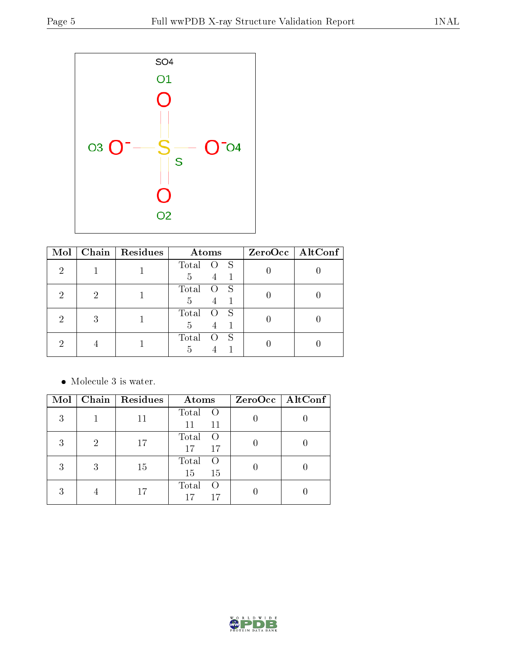

| Mol |   | Chain   Residues | Atoms                             | ZeroOcc   AltConf |
|-----|---|------------------|-----------------------------------|-------------------|
| 2   |   |                  | Total O<br>$^{\circ}$ S<br>5<br>4 |                   |
| 2   | 2 |                  | Total<br>S<br>5<br>4              |                   |
|     | 3 |                  | Total<br>- S<br>5<br>4            |                   |
|     |   |                  | Total<br>S<br>5                   |                   |

 $\bullet\,$  Molecule 3 is water.

| Mol |   | Chain   $Residues$ | Atoms                                 | ZeroOcc   AltConf |
|-----|---|--------------------|---------------------------------------|-------------------|
| 3   |   | 11                 | Total<br>$\overline{O}$<br>11<br>11   |                   |
| 3   | 2 | 17                 | Total<br>17<br>17                     |                   |
| 3   | 3 | 15                 | Total<br>$\left( \right)$<br>15<br>15 |                   |
| 3   |   |                    | Total<br>$\bigcap$<br>17<br>17        |                   |

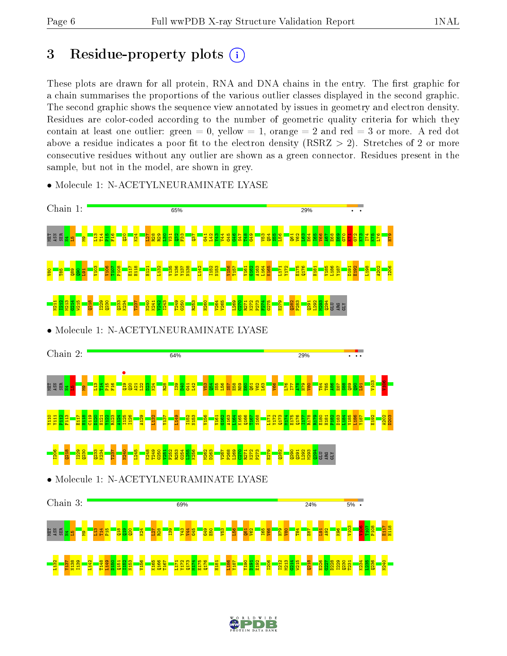# 3 Residue-property plots  $(i)$

These plots are drawn for all protein, RNA and DNA chains in the entry. The first graphic for a chain summarises the proportions of the various outlier classes displayed in the second graphic. The second graphic shows the sequence view annotated by issues in geometry and electron density. Residues are color-coded according to the number of geometric quality criteria for which they contain at least one outlier: green  $= 0$ , yellow  $= 1$ , orange  $= 2$  and red  $= 3$  or more. A red dot above a residue indicates a poor fit to the electron density (RSRZ  $> 2$ ). Stretches of 2 or more consecutive residues without any outlier are shown as a green connector. Residues present in the sample, but not in the model, are shown in grey.



• Molecule 1: N-ACETYLNEURAMINATE LYASE

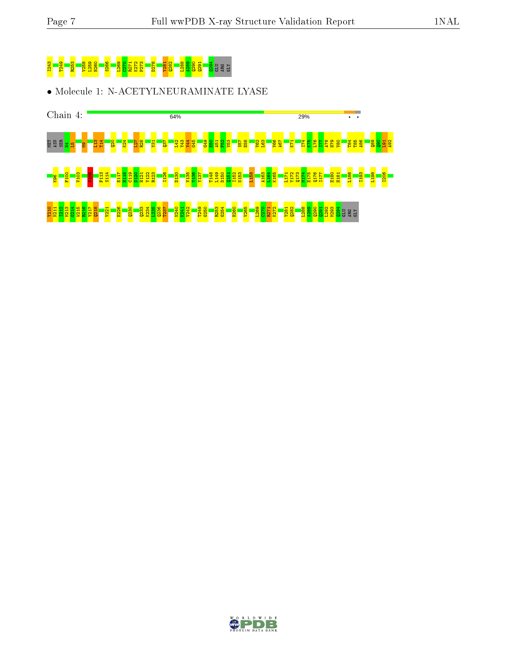# <mark>8 T<sup>2</sup> R B R25 & 8 R G 8 8 E C C R B 8 8 H26 B 8 6 5 L 8</mark> B 5 2 E

 $\bullet$  Molecule 1: N-ACETYLNEURAMINATE LYASE



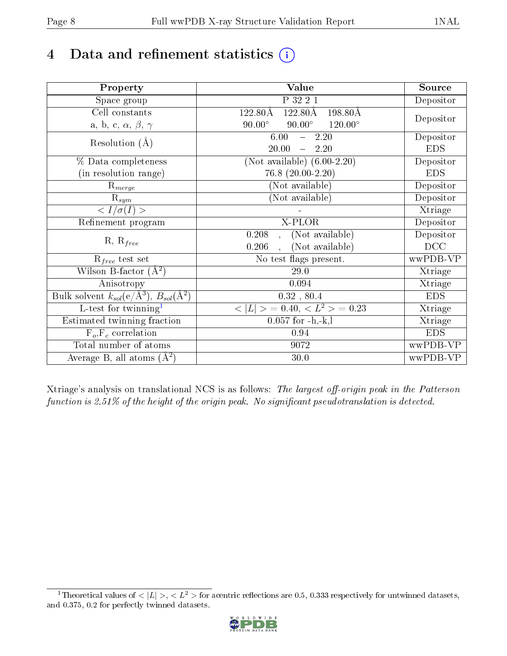# 4 Data and refinement statistics  $(i)$

| Property                                                         | Value                                              | Source                       |
|------------------------------------------------------------------|----------------------------------------------------|------------------------------|
| Space group                                                      | P 32 2 1                                           | Depositor                    |
| Cell constants                                                   | $122.80\text{\AA}$<br>198.80Å<br>122.80Å           |                              |
| a, b, c, $\alpha$ , $\beta$ , $\gamma$                           | $90.00^\circ$<br>$90.00^\circ$<br>$120.00^{\circ}$ | Depositor                    |
| Resolution $(A)$                                                 | 6.00<br>$-2.20$                                    | Depositor                    |
|                                                                  | 20.00<br>$-2.20$                                   | <b>EDS</b>                   |
| % Data completeness                                              | (Not available) $(6.00-2.20)$                      | Depositor                    |
| (in resolution range)                                            | $76.8$ $(20.00-2.20)$                              | <b>EDS</b>                   |
| $R_{merge}$                                                      | (Not available)                                    | Depositor                    |
| $\mathrm{R}_{sym}$                                               | (Not available)                                    | Depositor                    |
| $\langle I/\sigma(I)\rangle$                                     |                                                    | Xtriage                      |
| Refinement program                                               | X-PLOR                                             | Depositor                    |
|                                                                  | 0.208<br>(Not available)                           | Depositor                    |
| $R, R_{free}$                                                    | (Not available)<br>0.206                           | DCC                          |
| $R_{free}$ test set                                              | No test flags present.                             | wwPDB-VP                     |
| Wilson B-factor $(A^2)$                                          | 29.0                                               | Xtriage                      |
| Anisotropy                                                       | 0.094                                              | $\overline{\text{X}}$ triage |
| Bulk solvent $k_{sol}(\text{e}/\text{A}^3), B_{sol}(\text{A}^2)$ | 0.32, 80.4                                         | <b>EDS</b>                   |
| L-test for twinning <sup>1</sup>                                 | $< L >$ = 0.40, $< L2$ = 0.23                      | Xtriage                      |
| Estimated twinning fraction                                      | $0.057$ for $-h,-k,l$                              | Xtriage                      |
| $F_o, F_c$ correlation                                           | 0.94                                               | <b>EDS</b>                   |
| Total number of atoms                                            | 9072                                               | wwPDB-VP                     |
| Average B, all atoms $(A^2)$                                     | $30.0\,$                                           | wwPDB-VP                     |

Xtriage's analysis on translational NCS is as follows: The largest off-origin peak in the Patterson function is  $2.51\%$  of the height of the origin peak. No significant pseudotranslation is detected.

<span id="page-7-0"></span><sup>&</sup>lt;sup>1</sup>Theoretical values of  $\langle |L| \rangle, \langle L^2 \rangle$  for acentric reflections are 0.5, 0.333 respectively for untwinned datasets, and 0.375, 0.2 for perfectly twinned datasets.

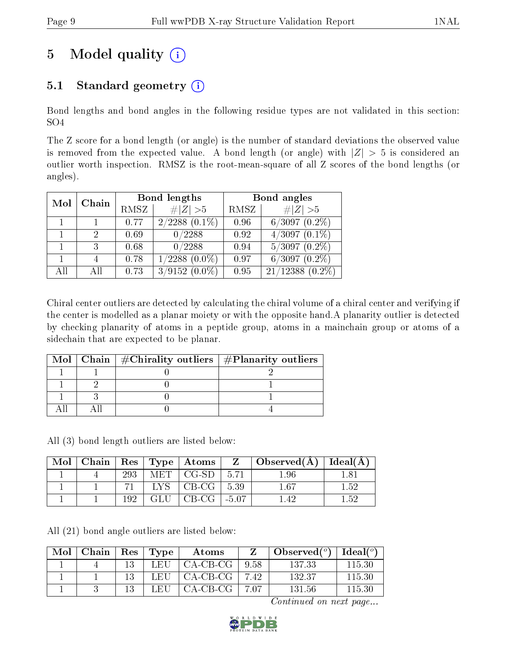# 5 Model quality  $(i)$

### 5.1 Standard geometry  $(i)$

Bond lengths and bond angles in the following residue types are not validated in this section: SO4

The Z score for a bond length (or angle) is the number of standard deviations the observed value is removed from the expected value. A bond length (or angle) with  $|Z| > 5$  is considered an outlier worth inspection. RMSZ is the root-mean-square of all Z scores of the bond lengths (or angles).

|     | Chain |      | <b>Bond lengths</b> | Bond angles |                       |
|-----|-------|------|---------------------|-------------|-----------------------|
| Mol |       | RMSZ | $\# Z  > 5$         | RMSZ        | $\# Z  > 5$           |
|     |       | 0.77 | $2/2288(0.1\%)$     | 0.96        | $6/3097$ $(0.2\%)$    |
|     | 2     | 0.69 | 0/2288              | 0.92        | $4/3097(0.1\%)$       |
|     | 3     | 0.68 | 0/2288              | 0.94        | $5/3097$ $(0.2\%)$    |
|     |       | 0.78 | $1/2288$ $(0.0\%)$  | 0.97        | $6/3097(0.2\%)$       |
| All | All   | 0.73 | $3/9152(0.0\%)$     | 0.95        | 21/12388<br>$(0.2\%)$ |

Chiral center outliers are detected by calculating the chiral volume of a chiral center and verifying if the center is modelled as a planar moiety or with the opposite hand.A planarity outlier is detected by checking planarity of atoms in a peptide group, atoms in a mainchain group or atoms of a sidechain that are expected to be planar.

|  | Mol   Chain   $\#\text{Chirality outliers}$   $\#\text{Planarity outliers}$ |  |
|--|-----------------------------------------------------------------------------|--|
|  |                                                                             |  |
|  |                                                                             |  |
|  |                                                                             |  |
|  |                                                                             |  |

All (3) bond length outliers are listed below:

| Mol | ${\rm Chain} \parallel$ |     |            | $\vert$ Res $\vert$ Type $\vert$ Atoms $\vert$ | $Z_{\parallel}$ | $\pm$ Observed( $\rm \AA)$ | Ideal(A) |
|-----|-------------------------|-----|------------|------------------------------------------------|-----------------|----------------------------|----------|
|     |                         | 293 | <b>MET</b> | $CG-SD$                                        | 5.71            | .96                        |          |
|     |                         |     |            | $\mathrm{CB}\text{-}\mathrm{CG}^-$             | 5.39            | - 67                       |          |
|     |                         | ഥറ  |            | $\bigcirc$ B-CG $\bigcirc$                     | $-5.07$         |                            |          |

All (21) bond angle outliers are listed below:

| Mol | Chain |    | $Res$   Type | Atoms       |       | Observed $(°)$ | Ideal $(^\circ)$ |
|-----|-------|----|--------------|-------------|-------|----------------|------------------|
|     |       | 13 | LEU          | CA-CB-CG    | 9.58  | 137.33         | 115.30           |
|     |       | 13 | LEU          | CA-CB-CG    | -742  | 132.37         | 115.30           |
|     |       | 13 | LEH          | -CA-CB-CG-L | -7.07 | 131.56         | 115.30           |

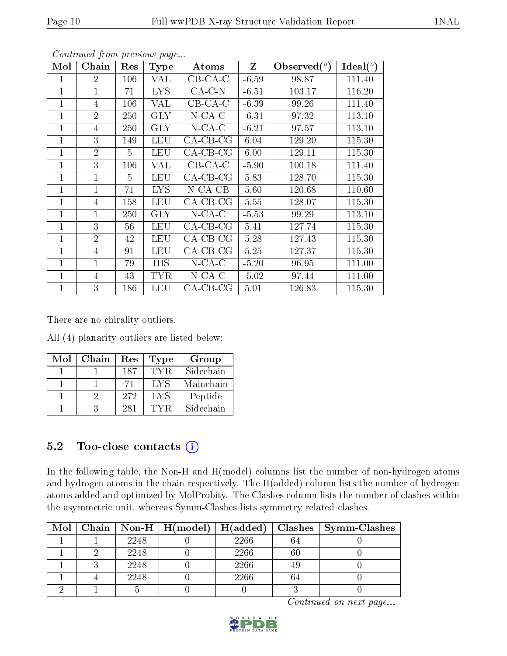| Mol          | Chain          | Res            | <b>Type</b> | Atoms       | Z       | $\text{Observed}(^{\text{o}})$ | Ideal $(°)$ |
|--------------|----------------|----------------|-------------|-------------|---------|--------------------------------|-------------|
| 1            | $\overline{2}$ | 106            | VAL         | $CB-CA-C$   | $-6.59$ | 98.87                          | 111.40      |
| $\mathbf{1}$ |                | 71             | <b>LYS</b>  | $CA-C-N$    | $-6.51$ | 103.17                         | 116.20      |
| $\mathbf{1}$ | $\overline{4}$ | 106            | VAL         | $CB-CA-C$   | $-6.39$ | 99.26                          | 111.40      |
| $\mathbf 1$  | $\overline{2}$ | 250            | <b>GLY</b>  | $N$ -CA-C   | $-6.31$ | 97.32                          | 113.10      |
| 1            | 4              | 250            | <b>GLY</b>  | $N$ -CA-C   | $-6.21$ | 97.57                          | 113.10      |
| $\mathbf{1}$ | 3              | 149            | <b>LEU</b>  | $CA$ -CB-CG | 6.04    | 129.20                         | 115.30      |
| 1            | $\overline{2}$ | $\overline{5}$ | <b>LEU</b>  | $CA$ -CB-CG | 6.00    | 129.11                         | 115.30      |
| $\mathbf{1}$ | 3              | 106            | VAL         | $CB-CA-C$   | $-5.90$ | 100.18                         | 111.40      |
| $\mathbf{1}$ |                | $\overline{5}$ | <b>LEU</b>  | $CA-CB-CG$  | 5.83    | 128.70                         | 115.30      |
| 1            | 1              | 71             | <b>LYS</b>  | $N$ -CA-CB  | 5.60    | 120.68                         | 110.60      |
| $\mathbf{1}$ | $\overline{4}$ | 158            | <b>LEU</b>  | $CA-CB-CG$  | 5.55    | 128.07                         | 115.30      |
| $\mathbf{1}$ | 1              | 250            | <b>GLY</b>  | $N$ -CA-C   | $-5.53$ | 99.29                          | 113.10      |
| 1            | 3              | 56             | LEU         | CA-CB-CG    | 5.41    | 127.74                         | 115.30      |
| 1            | $\overline{2}$ | 42             | LEU         | CA-CB-CG    | 5.28    | 127.43                         | 115.30      |
| 1            | 4              | 91             | LEU         | $CA$ -CB-CG | 5.25    | 127.37                         | 115.30      |
| 1            | 1              | 79             | HIS         | $N$ -CA-C   | $-5.20$ | 96.95                          | 111.00      |
| $\mathbf{1}$ | 4              | 43             | <b>TYR</b>  | $N$ -CA-C   | $-5.02$ | 97.44                          | 111.00      |
| 1            | 3              | 186            | LEU         | CA-CB-CG    | 5.01    | 126.83                         | 115.30      |

There are no chirality outliers.

All (4) planarity outliers are listed below:

| Mol | Chain | <b>Res</b> | <b>Type</b> | Group     |
|-----|-------|------------|-------------|-----------|
|     |       | 187        | TYR.        | Sidechain |
|     |       |            | <b>IYS</b>  | Mainchain |
|     |       | 272        | <b>IYS</b>  | Peptide   |
|     |       | 281        |             | Sidechain |

### $5.2$  Too-close contacts  $(i)$

In the following table, the Non-H and H(model) columns list the number of non-hydrogen atoms and hydrogen atoms in the chain respectively. The H(added) column lists the number of hydrogen atoms added and optimized by MolProbity. The Clashes column lists the number of clashes within the asymmetric unit, whereas Symm-Clashes lists symmetry related clashes.

|  |      |      |    | Mol   Chain   Non-H   H(model)   H(added)   Clashes   Symm-Clashes |
|--|------|------|----|--------------------------------------------------------------------|
|  | 2248 | 2266 | 64 |                                                                    |
|  | 2248 | 2266 | 60 |                                                                    |
|  | 2248 | 2266 | 49 |                                                                    |
|  | 2248 | 2266 | 64 |                                                                    |
|  |      |      |    |                                                                    |

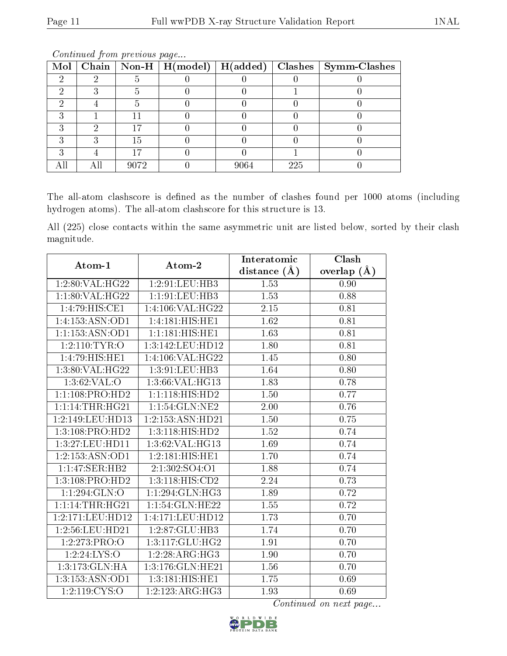|  |      |      |     | Mol   Chain   Non-H   H(model)   H(added)   Clashes   Symm-Clashes |
|--|------|------|-----|--------------------------------------------------------------------|
|  |      |      |     |                                                                    |
|  |      |      |     |                                                                    |
|  |      |      |     |                                                                    |
|  |      |      |     |                                                                    |
|  |      |      |     |                                                                    |
|  | 15   |      |     |                                                                    |
|  |      |      |     |                                                                    |
|  | 9072 | 906∠ | 225 |                                                                    |

The all-atom clashscore is defined as the number of clashes found per 1000 atoms (including hydrogen atoms). The all-atom clashscore for this structure is 13.

All (225) close contacts within the same asymmetric unit are listed below, sorted by their clash magnitude.

| Atom-1           | Atom-2             | Interatomic       | Clash         |
|------------------|--------------------|-------------------|---------------|
|                  |                    | distance $(A)$    | overlap $(A)$ |
| 1:2:80:VAL:HG22  | 1:2:91:LEU:HB3     | 1.53              | 0.90          |
| 1:1:80:VAL:HG22  | 1:1:91:LEU:HB3     | 1.53              | 0.88          |
| 1:4:79:HIS:CE1   | 1:4:106:VAL:HG22   | 2.15              | 0.81          |
| 1:4:153:ASN:OD1  | 1:4:181:HIS:HE1    | 1.62              | 0.81          |
| 1:1:153:ASN:OD1  | 1:1:181:HIS:HE1    | 1.63              | 0.81          |
| 1:2:110:TYR:O    | 1:3:142:LEU:HD12   | 1.80              | 0.81          |
| 1:4:79:HIS:HE1   | 1:4:106: VAL: HG22 | 1.45              | 0.80          |
| 1:3:80:VAL:HG22  | 1:3:91:LEU:HB3     | 1.64              | 0.80          |
| 1:3:62:VAL:O     | 1:3:66: VAL: HG13  | 1.83              | 0.78          |
| 1:1:108:PRO:HD2  | 1:1:118:HIS:HD2    | 1.50              | 0.77          |
| 1:1:14:THR:HG21  | 1:1:54:GLN:NE2     | 2.00              | 0.76          |
| 1:2:149:LEU:HD13 | 1:2:153:ASN:HD21   | $\overline{1.50}$ | 0.75          |
| 1:3:108:PRO:HD2  | 1:3:118:HIS:HD2    | 1.52              | 0.74          |
| 1:3:27:LEU:HD11  | 1:3:62:VAL:HG13    | 1.69              | 0.74          |
| 1:2:153:ASN:OD1  | 1:2:181:HIS:HE1    | 1.70              | 0.74          |
| 1:1:47:SER:HB2   | 2:1:302:SO4:O1     | 1.88              | 0.74          |
| 1:3:108:PRO:HD2  | 1:3:118:HIS:CD2    | 2.24              | 0.73          |
| 1:1:294:GLN:O    | 1:1:294:GLN:HG3    | 1.89              | 0.72          |
| 1:1:14:THR:HG21  | 1:1:54:GLN:HE22    | 1.55              | 0.72          |
| 1:2:171:LEU:HD12 | 1:4:171:LEU:HD12   | 1.73              | 0.70          |
| 1:2:56:LEU:HD21  | 1:2:87:GLU:HB3     | 1.74              | 0.70          |
| 1:2:273:PRO:O    | 1:3:117:GLU:HG2    | 1.91              | 0.70          |
| 1:2:24:LYS:O     | 1:2:28:ARG:HG3     | 1.90              | 0.70          |
| 1:3:173:GLN:HA   | 1:3:176:GLN:HE21   | 1.56              | 0.70          |
| 1:3:153:ASN:OD1  | 1:3:181:HIS:HE1    | 1.75              | 0.69          |
| 1:2:119:CYS:O    | 1:2:123:ARG:HG3    | 1.93              | 0.69          |

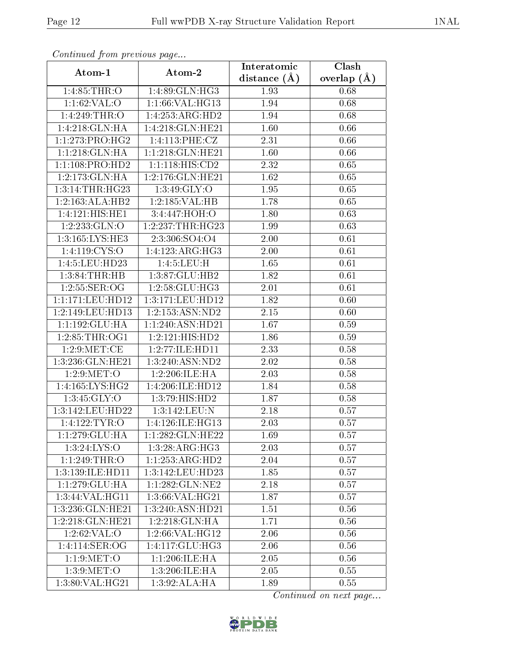| Commaca jibin previous page      |                       | Interatomic    | Clash             |
|----------------------------------|-----------------------|----------------|-------------------|
| Atom-1                           | Atom-2                | distance $(A)$ | overlap $(A)$     |
| 1:4:85:THR:O                     | 1:4:89:GLN:HG3        | 1.93           | 0.68              |
| 1:1:62:VAL:O                     | 1:1:66:VAL:HG13       | 1.94           | 0.68              |
| 1:4:249:THR:O                    | 1:4:253:ARG:HD2       | 1.94           | 0.68              |
| 1:4:218:GLN:HA                   | 1:4:218:GLN:HE21      | 1.60           | 0.66              |
| 1:1:273:PRO:HG2                  | 1:4:113:PHE:CZ        | 2.31           | 0.66              |
| 1:1:218:GLN:HA                   | 1:1:218:GLN:HE21      | 1.60           | 0.66              |
| 1:1:108:PRO:HD2                  | 1:1:118:HIS:CD2       | 2.32           | 0.65              |
| 1:2:173:GLN:HA                   | 1:2:176:GLN:HE21      | 1.62           | 0.65              |
| 1:3:14:THR:HG23                  | 1:3:49:GLY:O          | 1.95           | 0.65              |
| 1:2:163:ALA:HB2                  | 1:2:185:VAL:HB        | 1.78           | 0.65              |
| 1:4:121:HIS:HE1                  | 3:4:447:HOH:O         | 1.80           | 0.63              |
| 1:2:233:GLN:O                    | $1:2:237$ : THR: HG23 | 1.99           | 0.63              |
| 1:3:165:LYS:HE3                  | 2:3:306:SO4:O4        | 2.00           | 0.61              |
| 1:4:119:CYS:O                    | 1:4:123:ARG:HG3       | 2.00           | 0.61              |
| 1:4:5:LEU:HD23                   | 1:4:5:LEU:H           | 1.65           | $\overline{0.61}$ |
| $1:3:84$ : THR: HB               | 1:3:87:GLU:HB2        | 1.82           | 0.61              |
| 1:2:55:SER:OG                    | 1:2:58:GLU:HG3        | 2.01           | 0.61              |
| 1:1:171:LEU:HD12                 | 1:3:171:LEU:HD12      | 1.82           | 0.60              |
| 1:2:149:LEU:HD13                 | 1:2:153:ASN:ND2       | 2.15           | 0.60              |
| 1:1:192:GLU:HA                   | 1:1:240:ASN:HD21      | 1.67           | 0.59              |
| 1:2:85:THR:OG1                   | 1:2:121:HIS:HD2       | 1.86           | 0.59              |
| 1:2:9:MET:CE                     | 1:2:77:ILE:HD11       | 2.33           | 0.58              |
| 1:3:236: GLN: HE21               | 1:3:240:ASN:ND2       | 2.02           | 0.58              |
| 1:2:9:MET:O                      | 1:2:206:ILE:HA        | 2.03           | 0.58              |
| 1:4:165:LYS:HG2                  | 1:4:206:ILE:HD12      | 1.84           | 0.58              |
| 1:3:45:GLY:O                     | 1:3:79:HIS:HD2        | 1.87           | 0.58              |
| 1:3:142:LEU:HD22                 | 1:3:142:LEU:N         | 2.18           | 0.57              |
| 1:4:122:TYR:O                    | 1:4:126:ILE:HG13      | 2.03           | 0.57              |
| 1:1:279:GLU:HA                   | 1:1:282:GLN:HE22      | 1.69           | 0.57              |
| $1:3:24:\overline{\text{LYS:O}}$ | 1:3:28:ARG:HG3        | 2.03           | 0.57              |
| 1:1:249:THR:O                    | 1:1:253:ARG:HD2       | 2.04           | 0.57              |
| $1:3:139:ILE:HD\overline{11}$    | 1:3:142:LEU:HD23      | 1.85           | 0.57              |
| 1:1:279:GLU:HA                   | 1:1:282:GLN:NE2       | 2.18           | 0.57              |
| 1:3:44:VAL:HG11                  | 1:3:66: VAL: HG21     | 1.87           | 0.57              |
| 1:3:236: GLN: HE21               | 1:3:240:ASN:HD21      | 1.51           | 0.56              |
| 1:2:218:GLN:HE21                 | 1:2:218:GLN:HA        | 1.71           | 0.56              |
| 1:2:62:VAL:O                     | 1:2:66: VAL: HG12     | 2.06           | 0.56              |
| 1:4:114:SER:OG                   | 1:4:117:GLU:HG3       | 2.06           | 0.56              |
| 1:1:9:MET:O                      | 1:1:206:ILE:HA        | 2.05           | 0.56              |
| 1:3:9:MET:O                      | 1:3:206:ILE:HA        | 2.05           | 0.55              |
| 1:3:80:VAL:HG21                  | 1:3:92:ALA:HA         | 1.89           | 0.55              |

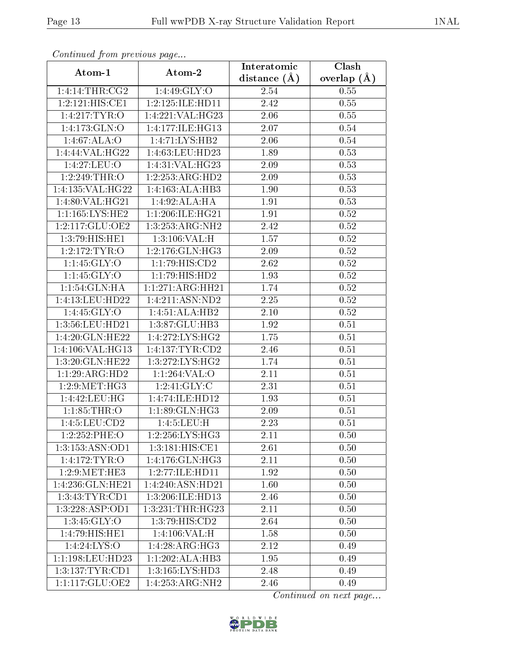| Commuca from previous page |                                     | Interatomic    | $\overline{\text{Clash}}$ |
|----------------------------|-------------------------------------|----------------|---------------------------|
| Atom-1                     | Atom-2                              | distance $(A)$ | overlap $(A)$             |
| 1:4:14:THR:CG2             | 1:4:49:GLY:O                        | 2.54           | 0.55                      |
| 1:2:121:HIS:CE1            | 1:2:125:ILE:HD11                    | 2.42           | 0.55                      |
| 1:4:217:TYR:O              | 1:4:221:VAL:HG23                    | 2.06           | 0.55                      |
| 1:4:173:GLN:O              | 1:4:177:ILE:HG13                    | 2.07           | 0.54                      |
| 1:4:67:ALA:O               | 1:4:71:LYS:HB2                      | 2.06           | 0.54                      |
| 1:4:44:VAL:HG22            | 1:4:63:LEU:HD23                     | 1.89           | 0.53                      |
| 1:4:27:LEU:O               | 1:4:31:VAL:HG23                     | 2.09           | 0.53                      |
| 1:2:249:THR:O              | 1:2:253:ARG:HD2                     | 2.09           | 0.53                      |
| 1:4:135:VAL:HG22           | 1:4:163:ALA:HB3                     | 1.90           | 0.53                      |
| 1:4:80:VAL:HG21            | 1:4:92:ALA:HA                       | 1.91           | 0.53                      |
| 1:1:165:LYS:HE2            | 1:1:206:ILE:HG21                    | 1.91           | 0.52                      |
| 1:2:117:GLU:OE2            | 1:3:253:ARG:NH2                     | 2.42           | 0.52                      |
| 1:3:79:HIS:HE1             | 1:3:106:VAL:H                       | 1.57           | 0.52                      |
| 1:2:172:TYR:O              | 1:2:176:GLN:HG3                     | 2.09           | 0.52                      |
| 1:1:45:GLY:O               | 1:1:79:HIS:CD2                      | 2.62           | $\overline{0.52}$         |
| 1:1:45:GLY:O               | 1:1:79:HIS:HD2                      | 1.93           | 0.52                      |
| 1:1:54:GLN:HA              | 1:1:271:ARG:HH21                    | 1.74           | $0.52\,$                  |
| 1:4:13:LEU:HD22            | 1:4:211:ASN:ND2                     | 2.25           | 0.52                      |
| 1:4:45:GLY:O               | 1:4:51:ALA:HB2                      | 2.10           | $0.52\,$                  |
| 1:3:56:LEU:HD21            | 1:3:87:GLU:HB3                      | 1.92           | 0.51                      |
| 1:4:20:GLN:HE22            | 1:4:272:LYS:HG2                     | 1.75           | 0.51                      |
| 1:4:106:VAL:HG13           | 1:4:137:TYR:CD2                     | 2.46           | 0.51                      |
| 1:3:20:GLN:HE22            | 1:3:272:LYS:HG2                     | 1.74           | 0.51                      |
| 1:1:29:ARG:HD2             | 1:1:264:VAL:O                       | 2.11           | 0.51                      |
| 1:2:9:MET:HG3              | 1:2:41:GLY:C                        | 2.31           | 0.51                      |
| 1:4:42:LEU:HG              | 1:4:74:ILE:HD12                     | 1.93           | 0.51                      |
| 1:1:85:THR:O               | 1:1:89:GLN:HG3                      | 2.09           | 0.51                      |
| 1:4:5:LEU:CD2              | 1:4:5:LEU:H                         | 2.23           | 0.51                      |
| 1:2:252:PHE:O              | 1:2:256:LYS:HG3                     | 2.11           | 0.50                      |
| 1:3:153:ASN:OD1            | 1:3:181:HIS:CE1                     | 2.61           | 0.50                      |
| 1:4:172:TYR:O              | 1:4:176:GLN:HG3                     | 2.11           | 0.50                      |
| 1:2:9:MET:HE3              | 1:2:77:ILE:HD11                     | 1.92           | 0.50                      |
| 1:4:236: GLN: HE21         | 1:4:240:ASN:HD21                    | 1.60           | 0.50                      |
| 1:3:43:TYR:CD1             | 1:3:206:ILE:HD13                    | 2.46           | 0.50                      |
| 1:3:228:ASP:OD1            | 1:3:231:THR:HG23                    | 2.11           | 0.50                      |
| 1:3:45:GLY:O               | 1:3:79:HIS:CD2                      | 2.64           | 0.50                      |
| 1:4:79:HIS:HE1             | 1:4:106:VAL:H                       | 1.58           | 0.50                      |
| 1:4:24:LYS:O               | 1:4:28:ARG:HG3                      | 2.12           | 0.49                      |
| 1:1:198:LEU:HD23           | 1:1:202:ALA:HB3                     | 1.95           | 0.49                      |
| 1:3:137:TYR:CD1            | 1:3:165:LYS:HD3                     | 2.48           | 0.49                      |
| 1:1:117:GLU:OE2            | $1:4:253:ARG:\overline{\text{NH2}}$ | 2.46           | 0.49                      |

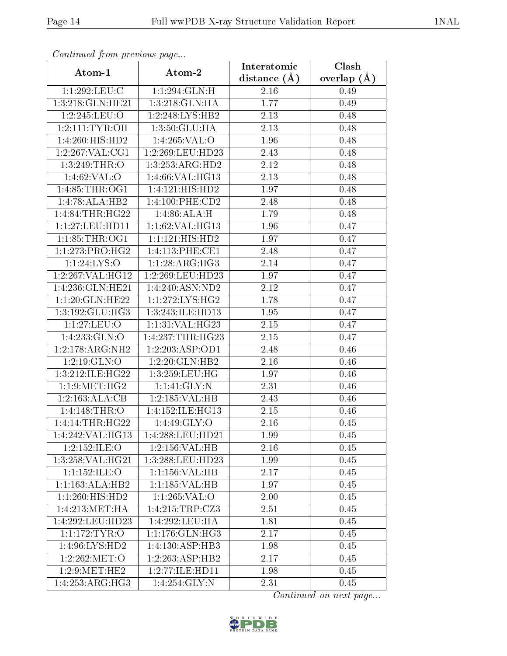| Communaca from previous page         |                                   | Interatomic       | Clash         |
|--------------------------------------|-----------------------------------|-------------------|---------------|
| Atom-1                               | Atom-2                            | distance $(\AA)$  | overlap $(A)$ |
| 1:1:292:LEU:C                        | $1:1:294$ : GLN: H                | 2.16              | 0.49          |
| 1:3:218:GLN:HE21                     | 1:3:218:GLN:HA                    | 1.77              | 0.49          |
| 1:2:245:LEU:O                        | 1:2:248:LYS:HB2                   | 2.13              | 0.48          |
| 1:2:111:TYR:OH                       | 1:3:50:GLU:HA                     | 2.13              | 0.48          |
| 1:4:260:HIS:HD2                      | 1:4:265:VAL:O                     | 1.96              | 0.48          |
| 1:2:267:VAL:CG1                      | 1:2:269:LEU:HD23                  | 2.43              | 0.48          |
| 1:3:249:THR:O                        | 1:3:253:ARG:HD2                   | 2.12              | 0.48          |
| 1:4:62:VAL:O                         | 1:4:66: VAL: HG13                 | 2.13              | 0.48          |
| 1:4:85:THR:OG1                       | 1:4:121:HIS:HD2                   | 1.97              | 0.48          |
| 1:4:78:ALA:HB2                       | 1:4:100:PHE:CD2                   | 2.48              | 0.48          |
| 1:4:84:THR:HG22                      | 1:4:86:ALA:H                      | 1.79              | 0.48          |
| 1:1:27:LEU:HD11                      | 1:1:62: VAL: HG13                 | 1.96              | 0.47          |
| 1:1:85:THR:OG1                       | 1:1:121:HIS:HD2                   | 1.97              | 0.47          |
| 1:1:273:PRO:HG2                      | 1:4:113:PHE:CE1                   | 2.48              | 0.47          |
| 1:1:24:LYS:O                         | 1:1:28:ARG:HG3                    | 2.14              | 0.47          |
| 1:2:267:VAL:HG12                     | 1:2:269:LEU:HD23                  | 1.97              | 0.47          |
| 1:4:236: GLN: HE21                   | 1:4:240:ASN:ND2                   | 2.12              | 0.47          |
| $1:1:20$ : GLN: HE $\overline{22}$   | 1:1:272:LYS:HG2                   | 1.78              | 0.47          |
| 1:3:192:GLU:HG3                      | 1:3:243:ILE:HD13                  | 1.95              | 0.47          |
| 1:1:27:LEU:O                         | 1:1:31:VAL:HG23                   | 2.15              | 0.47          |
| 1:4:233:GLN:O                        | 1:4:237:THR:HG23                  | 2.15              | 0.47          |
| 1:2:178:ARG:NH2                      | 1:2:203:ASP:OD1                   | 2.48              | 0.46          |
| 1:2:19:GLN:O                         | 1:2:20:GLN:HB2                    | 2.16              | 0.46          |
| 1:3:212:ILE:HG22                     | 1:3:259:LEU:HG                    | $\overline{1.97}$ | 0.46          |
| 1:1:9:MET:HG2                        | 1:1:41:GLY:N                      | 2.31              | 0.46          |
| 1:2:163:ALA:CB                       | 1:2:185:VAL:HB                    | 2.43              | 0.46          |
| 1:4:148:THR:O                        | 1:4:152:ILE:HG13                  | 2.15              | 0.46          |
| 1:4:14:THR:HG22                      | 1:4:49:GLY:O                      | 2.16              | 0.45          |
| 1:4:242:VAL:HE13                     | 1:4:288:LEU:HD21                  | 1.99              | 0.45          |
| 1:2:152:ILE:O                        | 1:2:156:VAL:HB                    | 2.16              | 0.45          |
| $1:3:258:\overline{\text{VAL}:HG21}$ | 1:3:288:LEU:HD23                  | 1.99              | 0.45          |
| 1:1:152:ILE:O                        | 1:1:156:VAL:HB                    | 2.17              | 0.45          |
| 1:1:163:ALA:HB2                      | 1:1:185:VAL:HB                    | 1.97              | 0.45          |
| 1:1:260:HIS:HD2                      | $1:1:265:\overline{\text{VAL}:O}$ | 2.00              | 0.45          |
| 1:4:213:MET:HA                       | 1:4:215:TRP:CZ3                   | 2.51              | 0.45          |
| 1:4:292:LEU:HD23                     | 1:4:292:LEU:HA                    | 1.81              | 0.45          |
| 1:1:172:TYR:O                        | 1:1:176:GLN:HG3                   | 2.17              | 0.45          |
| 1:4:96:LYS:HD2                       | 1:4:130:ASP:HB3                   | 1.98              | 0.45          |
| 1:2:262:MET:O                        | 1:2:263:ASP:HB2                   | 2.17              | 0.45          |
| 1:2:9:MET:HE2                        | 1:2:77:ILE:HD11                   | 1.98              | 0.45          |
| $1:4:253:ARG:\overline{HG3}$         | 1:4:254:GLY:N                     | 2.31              | 0.45          |

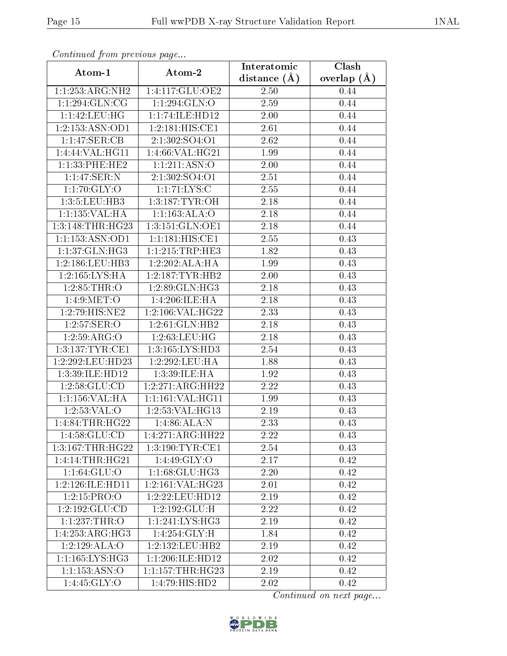| Continuea from previous page |                               | Interatomic      | Clash           |
|------------------------------|-------------------------------|------------------|-----------------|
| Atom-1                       | Atom-2                        | distance $(\AA)$ | overlap $(\AA)$ |
| 1:1:253:ARG:NH2              | 1:4:117:GLU:OE2               | 2.50             | 0.44            |
| 1:1:294:GLN:CG               | 1:1:294:GLN:O                 | 2.59             | 0.44            |
| 1:1:42:LEU:HG                | 1:1:74:ILE:HD12               | 2.00             | 0.44            |
| 1:2:153:ASN:OD1              | 1:2:181:HIS:CE1               | 2.61             | 0.44            |
| 1:1:47:SER:CB                | 2:1:302:SO4:O1                | 2.62             | 0.44            |
| 1:4:44: VAL: HG11            | 1:4:66: VAL: HG21             | 1.99             | 0.44            |
| 1:1:33:PHE:HE2               | 1:1:211:ASN:O                 | 2.00             | 0.44            |
| $1:1:47$ :SER:N              | 2:1:302:SO4:O1                | 2.51             | 0.44            |
| 1:1:70:GLY:O                 | 1:1:71:LYS:C                  | 2.55             | 0.44            |
| 1:3:5:LEU:HB3                | 1:3:187:TYR:OH                | 2.18             | 0.44            |
| 1:1:135:VAL:HA               | 1:1:163:ALA:O                 | 2.18             | 0.44            |
| 1:3:148:THR:HG23             | 1:3:151:GLN:OE1               | 2.18             | 0.44            |
| 1:1:153:ASN:OD1              | 1:1:181:HIS:CE1               | 2.55             | 0.43            |
| 1:1:37:GLN:HG3               | 1:1:215:TRP:HE3               | 1.82             | 0.43            |
| 1:2:186:LEU:HB3              | 1:2:202:ALA:HA                | 1.99             | 0.43            |
| 1:2:165:LYS:HA               | $1:2:187$ : TYR: HB2          | 2.00             | 0.43            |
| $1:2:85$ : THR: O            | 1:2:89:GLN:HG3                | 2.18             | 0.43            |
| 1:4:9:MET:O                  | 1:4:206:ILE:HA                | 2.18             | 0.43            |
| 1:2:79:HIS:NE2               | 1:2:106:VAL:HG22              | 2.33             | 0.43            |
| 1:2:57:SER:O                 | 1:2:61:GLN:HB2                | 2.18             | 0.43            |
| 1:2:59:ARG:O                 | 1:2:63:LEU:HG                 | 2.18             | 0.43            |
| 1:3:137:TYR:CE1              | 1:3:165:LYS:HD3               | 2.54             | 0.43            |
| 1:2:292:LEU:HD23             | 1:2:292:LEU:HA                | 1.88             | 0.43            |
| 1:3:39:ILE:HD12              | 1:3:39:ILE:HA                 | 1.92             | 0.43            |
| 1:2:58:GLU:CD                | 1:2:271:ARG:HH22              | 2.22             | 0.43            |
| 1:1:156:VAL:HA               | 1:1:161:VAL:HG11              | 1.99             | 0.43            |
| 1:2:53:VAL:O                 | 1:2:53: VAL: HG13             | 2.19             | 0.43            |
| 1:4:84:THR:HG22              | 1:4:86:ALA:N                  | 2.33             | 0.43            |
| 1:4:58:GLU:CD                | $1:4:271:A\overline{RG:HH22}$ | 2.22             | 0.43            |
| $1:3:167$ : THR: HG22        | 1:3:190:TYR:CE1               | 2.54             | 0.43            |
| 1:4:14:THR:HG21              | 1:4:49:GLY:O                  | 2.17             | 0.42            |
| $1:1:64$ : GLU: O            | 1:1:68:GLU:HG3                | 2.20             | 0.42            |
| 1:2:126:ILE:HD11             | 1:2:161:VAL:HG23              | 2.01             | 0.42            |
| 1:2:15:PRO:O                 | 1:2:22:LEU:HD12               | 2.19             | 0.42            |
| 1:2:192:GLU:CD               | 1:2:192:GLU:H                 | 2.22             | 0.42            |
| $1:1:237$ : THR: O           | 1:1:241:LYS:HG3               | 2.19             | 0.42            |
| 1:4:253:ARG:HG3              | 1:4:254:GLY:H                 | 1.84             | 0.42            |
| 1:2:129:ALA:O                | 1:2:132:LEU:HB2               | 2.19             | 0.42            |
| 1:1:165:LYS:HG3              | 1:1:206:ILE:HD12              | 2.02             | 0.42            |
| 1:1:153:ASN:O                | $1:1:157$ : THR: HG23         | 2.19             | 0.42            |
| 1:4:45:GLY:O                 | 1:4:79:HIS:HD2                | 2.02             | 0.42            |

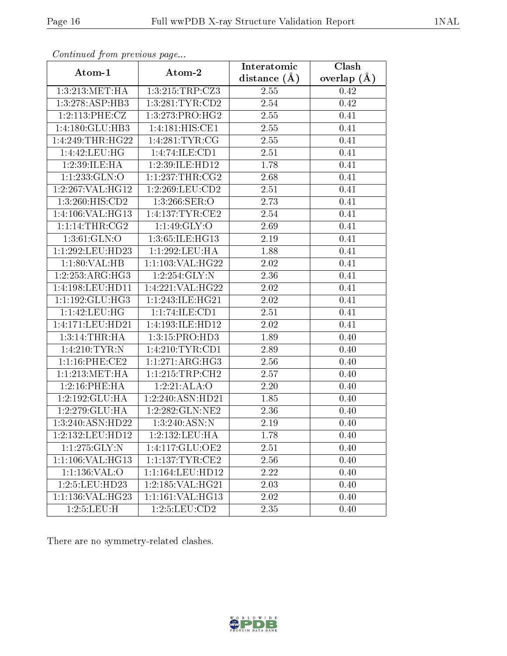| Continuatu from previous page |                      | Interatomic    | Clash           |
|-------------------------------|----------------------|----------------|-----------------|
| Atom-1                        | Atom-2               | distance $(A)$ | overlap $(\AA)$ |
| 1:3:213:MET:HA                | 1:3:215:TRP:CZ3      | 2.55           | 0.42            |
| 1:3:278:ASP:HB3               | 1:3:281:TYR:CD2      | 2.54           | 0.42            |
| 1:2:113:PHE:CZ                | 1:3:273:PRO:HG2      | 2.55           | 0.41            |
| 1:4:180:GLU:HB3               | 1:4:181:HIS:CE1      | 2.55           | 0.41            |
| 1:4:249:THR:HG22              | 1:4:281:TYR:CG       | 2.55           | 0.41            |
| 1:4:42:LEU:HG                 | 1:4:74:ILE:CD1       | 2.51           | 0.41            |
| 1:2:39:ILE:HA                 | 1:2:39:ILE:HD12      | 1.78           | 0.41            |
| 1:1:233:GLN:O                 | $1:1:237$ : THR: CG2 | 2.68           | 0.41            |
| 1:2:267:VAL:HG12              | 1:2:269:LEU:CD2      | 2.51           | 0.41            |
| $1:3:260:HI\overline{S:CD2}$  | 1:3:266:SER:O        | 2.73           | 0.41            |
| 1:4:106:VAL:HG13              | 1:4:137:TYR:CE2      | 2.54           | 0.41            |
| 1:1:14:THR:CG2                | 1:1:49:GLY:O         | 2.69           | 0.41            |
| 1:3:61:GLN:O                  | 1:3:65:ILE:HG13      | 2.19           | 0.41            |
| 1:1:292:LEU:HD23              | 1:1:292:LEU:HA       | 1.88           | 0.41            |
| 1:1:80:VAL:HB                 | 1:1:103: VAL: HG22   | 2.02           | 0.41            |
| 1:2:253:ARG:HG3               | 1:2:254:GLY:N        | 2.36           | 0.41            |
| 1:4:198:LEU:HD11              | 1:4:221:VAL:HG22     | 2.02           | 0.41            |
| 1:1:192:GLU:HG3               | 1:1:243:ILE:HG21     | 2.02           | 0.41            |
| 1:1:42:LEU:HG                 | 1:1:74:ILE:CD1       | 2.51           | 0.41            |
| 1:4:171:LEU:HD21              | 1:4:193:ILE:HD12     | 2.02           | 0.41            |
| 1:3:14:THR:HA                 | 1:3:15:PRO:HD3       | 1.89           | 0.40            |
| 1:4:210:TYR:N                 | 1:4:210:TYR:CD1      | 2.89           | 0.40            |
| 1:1:16:PHE:CE2                | 1:1:271:ARG:HG3      | 2.56           | 0.40            |
| 1:1:213:MET:HA                | 1:1:215:TRP:CH2      | 2.57           | 0.40            |
| 1:2:16:PHE:HA                 | 1:2:21:ALA:O         | 2.20           | 0.40            |
| 1:2:192:GLU:HA                | 1:2:240:ASN:HD21     | 1.85           | 0.40            |
| 1:2:279:GLU:HA                | 1:2:282:GLN:NE2      | 2.36           | 0.40            |
| 1:3:240:ASN:HD22              | $1:3:240:$ ASN:N     | 2.19           | 0.40            |
| 1:2:132:LEU:HD12              | 1:2:132:LEU:HA       | 1.78           | 0.40            |
| 1:1:275:GLY:N                 | 1:4:117:GLU:OE2      | 2.51           | 0.40            |
| 1:1:106:VAL:HG13              | 1:1:137:TYR:CE2      | 2.56           | 0.40            |
| 1:1:136:VAL:O                 | 1:1:164:LEU:HD12     | 2.22           | 0.40            |
| 1:2:5:LE <sub>U</sub> :HD23   | 1:2:185:VAL:HG21     | 2.03           | 0.40            |
| 1:1:136:VAL:HG23              | 1:1:161:VAL:HG13     | 2.02           | 0.40            |
| 1:2:5:LEU:H                   | 1:2:5:LEU:CD2        | 2.35           | 0.40            |

There are no symmetry-related clashes.

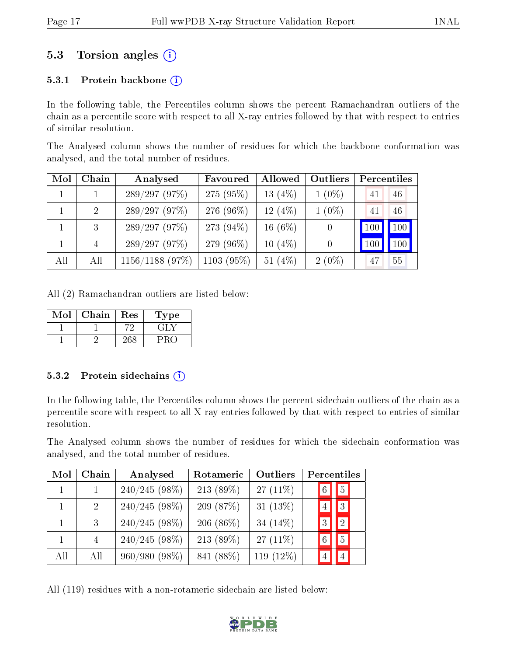### 5.3 Torsion angles (i)

#### 5.3.1 Protein backbone  $(i)$

In the following table, the Percentiles column shows the percent Ramachandran outliers of the chain as a percentile score with respect to all X-ray entries followed by that with respect to entries of similar resolution.

The Analysed column shows the number of residues for which the backbone conformation was analysed, and the total number of residues.

| Mol | Chain          | Analysed          | Favoured      | Allowed    | Outliers | Percentiles |     |
|-----|----------------|-------------------|---------------|------------|----------|-------------|-----|
|     | 1              | 289/297(97%)      | 275(95%)      | 13 $(4%)$  | $1(0\%)$ | 41          | 46  |
|     | $\overline{2}$ | 289/297(97%)      | 276 (96\%)    | 12 $(4%)$  | $1(0\%)$ | 41          | 46  |
|     | 3              | 289/297(97%)      | 273 (94\%)    | 16 $(6%)$  | $\theta$ | 100         | 100 |
|     |                | 289/297(97%)      | 279 (96\%)    | $10(4\%)$  | 0        | 100         | 100 |
| All | All            | $1156/1188$ (97%) | 1103 $(95\%)$ | 51 $(4\%)$ | $2(0\%)$ | 47          | 55  |

All (2) Ramachandran outliers are listed below:

| Mol | Chain | $\operatorname{Res}% \left( \mathcal{N}\right) \equiv\operatorname{Res}(\mathcal{N}_{0})\cap\mathcal{N}_{1}$ | Fype  |
|-----|-------|--------------------------------------------------------------------------------------------------------------|-------|
|     |       |                                                                                                              | -21 J |
|     |       | 268                                                                                                          |       |

#### 5.3.2 Protein sidechains  $(i)$

In the following table, the Percentiles column shows the percent sidechain outliers of the chain as a percentile score with respect to all X-ray entries followed by that with respect to entries of similar resolution.

The Analysed column shows the number of residues for which the sidechain conformation was analysed, and the total number of residues.

| Mol | Chain          | Analysed        | Rotameric    | Outliers    |  | Percentiles   |               |  |  |
|-----|----------------|-----------------|--------------|-------------|--|---------------|---------------|--|--|
|     |                | $240/245(98\%)$ | 213 (89%)    | 27 $(11\%)$ |  | ⊥6 ′          | 5             |  |  |
|     | $2^{\circ}$    | $240/245(98\%)$ | 209 (87%)    | 31 $(13%)$  |  |               | $ 3\rangle$   |  |  |
|     | 3              | $240/245(98\%)$ | 206 $(86\%)$ | 34 $(14\%)$ |  | $\mathcal{R}$ | $\mathcal{D}$ |  |  |
|     | $\overline{4}$ | $240/245(98\%)$ | 213 (89%)    | 27 $(11\%)$ |  |               | $\frac{5}{2}$ |  |  |
| All | All            | 960/980 (98%)   | 841 (88%)    | 119 (12%)   |  |               |               |  |  |

All (119) residues with a non-rotameric sidechain are listed below:

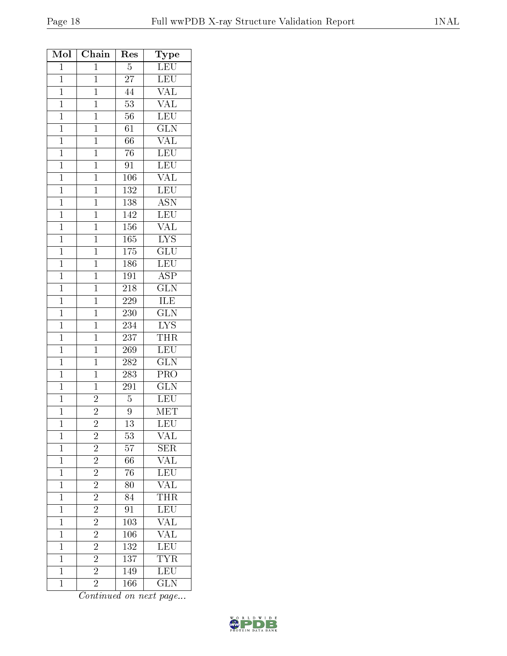| Mol            | Chain          | Res              | $_{\rm Type}$                                  |
|----------------|----------------|------------------|------------------------------------------------|
| $\overline{1}$ | $\overline{1}$ | $\overline{5}$   | LEU                                            |
| $\overline{1}$ | $\mathbf{1}$   | $\overline{27}$  | LEU                                            |
| $\mathbf{1}$   | $\mathbf{1}$   | 44               | $\overline{\text{VAL}}$                        |
| $\mathbf{1}$   | $\overline{1}$ | $\overline{53}$  | $\overline{\text{VAL}}$                        |
| $\overline{1}$ | $\mathbf{1}$   | 56               | $\overline{\text{LEU}}$                        |
| $\overline{1}$ | $\overline{1}$ | $\overline{61}$  | $\overline{\text{GLN}}$                        |
| $\overline{1}$ | $\overline{1}$ | 66               | $\overline{\text{VAL}}$                        |
| $\mathbf 1$    | $\mathbf{1}$   | 76               | $\overline{\text{LEU}}$                        |
| $\mathbf 1$    | $\mathbf{1}$   | $\overline{91}$  | $\overline{\text{LEU}}$                        |
| $\overline{1}$ | $\overline{1}$ | 106              | <b>VAL</b>                                     |
| $\overline{1}$ | $\overline{1}$ | 132              | $\overline{\text{LEU}}$                        |
| $\mathbf{1}$   | $\mathbf{1}$   | 138              | <b>ASN</b>                                     |
| $\mathbf{1}$   | $\mathbf{1}$   | $\overline{142}$ | $\overline{\text{LEU}}$                        |
| $\mathbf{1}$   | $\overline{1}$ | 156              | <b>VAL</b>                                     |
| $\mathbf{1}$   | $\mathbf{1}$   | 165              | $\overline{\text{LYS}}$                        |
| $\overline{1}$ | $\overline{1}$ | $\overline{175}$ | $\overline{{\rm GLU}}$                         |
| $\mathbf{1}$   | $\mathbf{1}$   | 186              | LEU                                            |
| $\overline{1}$ | $\bar{1}$      | $\overline{191}$ | $\overline{\text{ASP}}$                        |
| $\overline{1}$ | $\overline{1}$ | 218              | $\overline{\text{GLN}}$                        |
| $\overline{1}$ | $\mathbf{1}$   | 229              | <b>ILE</b>                                     |
| $\overline{1}$ | $\overline{1}$ | <b>230</b>       | $\overline{\text{GLN}}$                        |
| $\mathbf{1}$   | $\mathbf{1}$   | 234              | $\overline{\text{LYS}}$                        |
| $\overline{1}$ | $\overline{1}$ | 237              | THR                                            |
| $\mathbf 1$    | $\mathbf{1}$   | 269              | LEU                                            |
| $\mathbf 1$    | $\overline{1}$ | 282              | $\overline{\text{GLN}}$                        |
| $\overline{1}$ | $\overline{1}$ | 283              | PRO                                            |
| $\mathbf{1}$   | $\mathbf{1}$   | 291              | $\overline{\text{GLN}}$                        |
| $\overline{1}$ | $\overline{2}$ | $\bf 5$          | LEU                                            |
| $\overline{1}$ | $\overline{2}$ | 9                | $\overline{\text{MET}}$                        |
| $\mathbf 1$    | $\overline{c}$ | 13               | $_{\rm LEU}$                                   |
| $\mathbf 1$    | $\overline{2}$ | 53               | $\overline{\text{VAL}}$                        |
| $\mathbf{1}$   | $\overline{2}$ | 57               | <b>SER</b>                                     |
| $\overline{1}$ | $\overline{2}$ | $\overline{66}$  | VAL<br>LEU                                     |
| $\mathbf{1}$   | $\overline{2}$ | 76               |                                                |
| $\overline{1}$ | $\overline{2}$ | 80               | $\overline{\text{VAL}}$                        |
| $\mathbf{1}$   | $\overline{2}$ | 84               | THR                                            |
| $\mathbf{1}$   | $\overline{2}$ | 91               | LEU                                            |
| $\mathbf 1$    | $\overline{2}$ | 103              | $\overline{\text{VAL}}$                        |
| $\overline{1}$ | $\overline{2}$ | 106              | $\overline{\text{VAL}}$                        |
| $\mathbf{1}$   | $\overline{2}$ | 132              |                                                |
| $\mathbf{1}$   | $\overline{2}$ | $\overline{137}$ | $\frac{\overline{\text{LEU}}}{\text{TYR}}$ LEU |
| $\mathbf 1$    | $\overline{2}$ | 149              |                                                |
| $\overline{1}$ | $\overline{2}$ | 166              | $\overline{\text{GLN}}$                        |

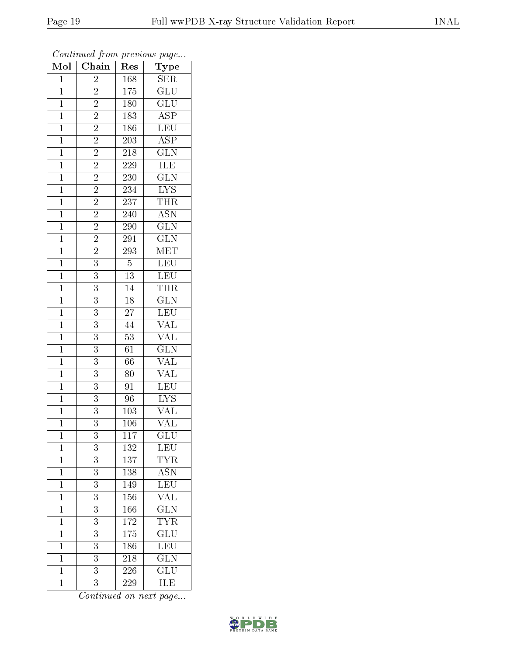| Mol            | $\overline{\text{Chain}}$ | Res              | $\overline{\phantom{a}}$<br>Type |
|----------------|---------------------------|------------------|----------------------------------|
| $\mathbf{1}$   | $\overline{2}$            | 168              | <b>SER</b>                       |
| $\mathbf 1$    | $\overline{2}$            | 175              | $\overline{\text{GLU}}$          |
| $\mathbf{1}$   | $\overline{2}$            | 180              | $\overline{{\rm GLU}}$           |
| $\overline{1}$ | $\overline{2}$            | 183              | $\overline{\text{ASP}}$          |
| $\overline{1}$ | $\overline{2}$            | 186              | LEU                              |
| $\mathbf{1}$   | $\overline{2}$            | 203              | $\overline{\text{ASP}}$          |
| $\mathbf{1}$   | $\overline{2}$            | 218              | $\overline{\text{GLN}}$          |
| $\mathbf{1}$   | $\overline{2}$            | 229              | <b>ILE</b>                       |
| $\overline{1}$ | $\overline{2}$            | 230              | $\overline{\text{GLN}}$          |
| $\overline{1}$ | $\overline{2}$            | $\overline{234}$ | $\overline{\text{LYS}}$          |
| $\mathbf{1}$   | $\overline{c}$            | 237              | $\overline{\text{THR}}$          |
| $\mathbf{1}$   | $\overline{2}$            | $\overline{240}$ | <b>ASN</b>                       |
| $\overline{1}$ | $\overline{2}$            | 290              | $\overline{\text{GLN}}$          |
| $\overline{1}$ | $\overline{2}$            | $\overline{291}$ | $\overline{\text{GLN}}$          |
| $\overline{1}$ | $\overline{2}$            | $\overline{293}$ | MET                              |
| $\mathbf{1}$   | $\overline{3}$            | $\bf 5$          | $\overline{\text{LEU}}$          |
| $\overline{1}$ | $\overline{3}$            | $\overline{13}$  | $\frac{1}{LEU}$                  |
| $\mathbf{1}$   | $\overline{3}$            | $14\,$           | $T\overline{\text{HR}}$          |
| $\overline{1}$ | $\overline{3}$            | $\overline{18}$  | $\overline{\text{GLN}}$          |
| $\overline{1}$ | $\overline{3}$            | $\overline{27}$  | LEU<br>VAL                       |
| $\mathbf{1}$   | $\overline{3}$            | $\overline{44}$  |                                  |
| $\overline{1}$ | $\overline{3}$            | $\overline{53}$  | <b>VAL</b>                       |
| $\overline{1}$ | $\overline{3}$            | $\overline{61}$  | $\overline{\text{GLN}}$          |
| $\overline{1}$ | $\overline{3}$            | $\overline{66}$  | $\rm \sqrt{AL}$                  |
| $\mathbf{1}$   | $\overline{3}$            | 80               | <b>VAL</b>                       |
| $\mathbf{1}$   | 3                         | 91               | LEU                              |
| $\mathbf{1}$   | $\overline{3}$            | 96               | $\overline{\text{LYS}}$          |
| $\overline{1}$ | $\overline{3}$            | 103              | VAL                              |
| $\overline{1}$ | $\overline{3}$            | $\overline{106}$ | $\overline{\text{VAL}}$          |
| $\mathbf 1$    | 3                         | 117              | GLU                              |
| $\mathbf 1$    | 3                         | 132              | <b>LEU</b>                       |
| $\mathbf 1$    | 3                         | 137              | <b>TYR</b>                       |
| $\mathbf{1}$   | 3                         | 138              | <b>ASN</b>                       |
| $\mathbf 1$    | $\overline{3}$            | 149              | $\overline{\text{LEU}}$          |
| $\mathbf 1$    | 3                         | 156              | $V\!A\overline{L}$               |
| $\mathbf 1$    | $\overline{3}$            | 166              | $\overline{\text{GLN}}$          |
| $\mathbf{1}$   | 3                         | 172              | <b>TYR</b>                       |
| $\mathbf 1$    | $\overline{3}$            | 175              | $\overline{\text{GLU}}$          |
| $\mathbf{1}$   | $\overline{3}$            | 186              | LEU                              |
| $\mathbf 1$    | 3                         | 218              | $\overline{{\rm GLN}}$           |
| $\mathbf{1}$   | 3                         | 226              | $\overline{{\rm GLU}}$           |
| $\mathbf 1$    | $\overline{3}$            | 229              | ILE                              |

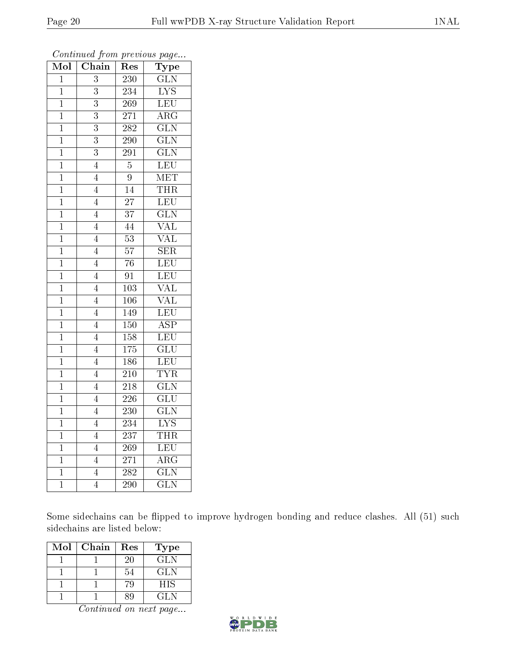| $\overline{\text{Mol}}$ | Chain          | Res              | Type                    |
|-------------------------|----------------|------------------|-------------------------|
| $\mathbf 1$             | 3              | 230              | $\overline{\text{GLN}}$ |
| $\overline{1}$          | $\overline{3}$ | 234              | $\overline{\text{LYS}}$ |
| $\overline{1}$          | $\overline{3}$ | $\overline{269}$ | LEU                     |
| $\mathbf{1}$            | $\overline{3}$ | $\overline{271}$ | $\overline{\rm{ARG}}$   |
| $\overline{1}$          | $\overline{3}$ | $\overline{282}$ | $\overline{\text{GLN}}$ |
| $\overline{1}$          | $\overline{3}$ | 290              | $\overline{\text{GLN}}$ |
| $\mathbf 1$             | 3              | 291              | $\overline{\text{GLN}}$ |
| $\mathbf 1$             | $\overline{4}$ | $\overline{5}$   | LEU                     |
| $\mathbf 1$             | $\overline{4}$ | 9                | MET                     |
| $\mathbf 1$             | $\overline{4}$ | $\overline{14}$  | <b>THR</b>              |
| $\mathbf{1}$            | $\overline{4}$ | $\overline{27}$  | LEU                     |
| $\overline{1}$          | $\overline{4}$ | $\overline{37}$  | $\overline{\text{GLN}}$ |
| $\overline{1}$          | $\overline{4}$ | $\overline{44}$  | $\overline{\text{VAL}}$ |
| $\overline{1}$          | $\overline{4}$ | $\overline{53}$  | VAL                     |
| $\overline{1}$          | $\overline{4}$ | $\overline{57}$  | $\overline{\text{SER}}$ |
| $\mathbf{1}$            | $\overline{4}$ | $\overline{76}$  | LEU                     |
| $\mathbf 1$             | $\overline{4}$ | $\overline{91}$  | LEU                     |
| $\mathbf 1$             | $\overline{4}$ | 103              | VAL                     |
| $\mathbf{1}$            | $\overline{4}$ | $\overline{106}$ | $\overline{\text{VAL}}$ |
| $\mathbf{1}$            | $\overline{4}$ | 149              | LEU                     |
| $\overline{1}$          | $\overline{4}$ | 150              | $\overline{\text{ASP}}$ |
| $\mathbf 1$             | $\overline{4}$ | 158              | LEU                     |
| $\mathbf 1$             | $\overline{4}$ | 175              | $\overline{\text{GLU}}$ |
| $\mathbf 1$             | $\overline{4}$ | 186              | LEU                     |
| $\mathbf 1$             | $\overline{4}$ | 210              | <b>TYR</b>              |
| $\overline{1}$          | $\overline{4}$ | $\overline{218}$ | $\overline{\text{GLN}}$ |
| $\overline{1}$          | $\overline{4}$ | $\overline{226}$ | $\overline{\text{GLU}}$ |
| $\overline{1}$          | $\overline{4}$ | $\overline{230}$ | $\overline{\text{GLN}}$ |
| $\mathbf 1$             | $\overline{4}$ | $\overline{234}$ | $\overline{\text{LYS}}$ |
| $\overline{1}$          | $\overline{4}$ | 237              | <b>THR</b>              |
| $\mathbf 1$             | $\overline{4}$ | 269              | LEU                     |
| $\mathbf{1}$            | $\overline{4}$ | 271              | $\overline{\rm{ARG}}$   |
| $\mathbf 1$             | $\overline{4}$ | $\overline{28}2$ | $\overline{\text{GLN}}$ |
| $\overline{1}$          | $\overline{4}$ | $\overline{290}$ | $\overline{\text{GLN}}$ |

Some sidechains can be flipped to improve hydrogen bonding and reduce clashes. All (51) such sidechains are listed below:

| Mol | Chain | Res | <b>Type</b> |
|-----|-------|-----|-------------|
|     |       | 20  | <b>GLN</b>  |
|     |       | 54  | GL N        |
|     |       |     | HIS         |
|     |       |     | GLN.        |

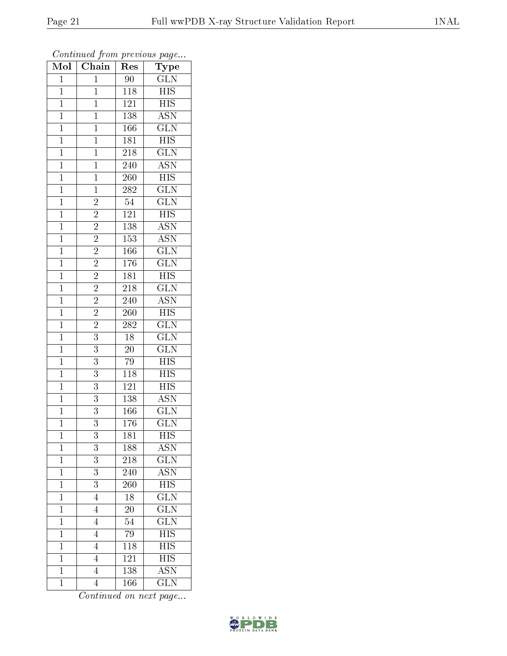| $\overline{\text{Mol}}$ | Chain                                                | Res              | ${\rm \bar{Type}}$        |
|-------------------------|------------------------------------------------------|------------------|---------------------------|
| $\mathbf{1}$            | $\mathbf{1}$                                         | 90               | $\overline{\text{GLN}}$   |
| $\overline{1}$          | $\overline{1}$                                       | 118              | <b>HIS</b>                |
| $\mathbf{1}$            | $\mathbf{1}$                                         | 121              | $\overline{\mathrm{HIS}}$ |
| $\mathbf{1}$            | $\mathbf{1}$                                         | 138              | $\overline{\mathrm{ASN}}$ |
| $\overline{1}$          | $\overline{1}$                                       | 166              | $\overline{\text{GLN}}$   |
| $\mathbf{1}$            | $\mathbf{1}$                                         | 181              | $\overline{HIS}$          |
| $\overline{1}$          | $\overline{1}$                                       | 218              | $\overline{\text{GLN}}$   |
| $\mathbf{1}$            | $\mathbf{1}$                                         | 240              | $\overline{\text{ASN}}$   |
| $\mathbf{1}$            | $\mathbf{1}$                                         | 260              | <b>HIS</b>                |
| $\mathbf 1$             | $\mathbf{1}$                                         | $\overline{282}$ | $\overline{\text{GLN}}$   |
| $\mathbf{1}$            | $\overline{2}$                                       | $54\,$           | $\overline{\text{GLN}}$   |
| $\overline{1}$          | $\overline{2}$                                       | <b>121</b>       | $\overline{HIS}$          |
| $\overline{1}$          | $\overline{2}$                                       | 138              | $\overline{\text{ASN}}$   |
| $\mathbf{1}$            | $\overline{2}$                                       | 153              | $\overline{\mathrm{ASN}}$ |
| $\overline{1}$          | $\overline{2}$                                       | 166              | $\overline{\text{GLN}}$   |
| $\mathbf{1}$            | $\overline{2}$                                       | 176              | $\overline{\text{GLN}}$   |
| $\overline{1}$          | $\frac{\overline{2}}{2}$<br>$\frac{\overline{2}}{2}$ | 181              | <b>HIS</b>                |
| $\mathbf{1}$            |                                                      | 218              | $\overline{\text{GLN}}$   |
| $\mathbf 1$             |                                                      | 240              | $\overline{\mathrm{ASN}}$ |
| $\mathbf{1}$            |                                                      | 260              | <b>HIS</b>                |
| $\overline{1}$          | $\overline{2}$                                       | 282              | $\overline{\text{GLN}}$   |
| $\overline{1}$          | $\overline{3}$                                       | $\overline{18}$  | $\overline{\text{GLN}}$   |
| $\mathbf{1}$            | 3                                                    | $20\,$           | $\overline{\text{GLN}}$   |
| $\overline{1}$          | $\overline{3}$                                       | $\overline{79}$  | $\overline{HIS}$          |
| $\mathbf{1}$            | $\overline{3}$                                       | 118              | <b>HIS</b>                |
| $\mathbf{1}$            | $\overline{3}$                                       | 121              | <b>HIS</b>                |
| $\mathbf{1}$            | $\overline{3}$                                       | 138              | <b>ASN</b>                |
| $\mathbf 1$             | $\overline{3}$                                       | 166              | <b>GLN</b>                |
| $\mathbf 1$             | $\overline{3}$                                       | 176              | $\overline{\text{GLN}}$   |
| $\mathbf 1$             | $\overline{3}$                                       | 181              | <b>HIS</b>                |
| $\mathbf 1$             | 3                                                    | 188              | $\rm \overline{ASN}$      |
| $\mathbf 1$             | $\overline{3}$                                       | 218              | $\overline{\text{GLN}}$   |
| $\mathbf{1}$            | 3                                                    | 240              | ASN                       |
| $\mathbf{1}$            | $\overline{3}$                                       | 260              | $\overline{\mathrm{HIS}}$ |
| $\mathbf{1}$            | 4                                                    | 18               | $\rm G\overline{LN}$      |
| $\mathbf 1$             | $\overline{4}$                                       | <b>20</b>        | $\overline{\text{GLN}}$   |
| $\mathbf{1}$            | $\overline{4}$                                       | 54               | $\overline{{\rm GLN}}$    |
| $\mathbf 1$             | $\overline{4}$                                       | 79               | $\overline{\mathrm{HIS}}$ |
| $\mathbf{1}$            | 4                                                    | 118              | $\overline{\mathrm{HIS}}$ |
| $\mathbf{1}$            | $\overline{4}$                                       | 121              | <b>HIS</b>                |
| $\mathbf{1}$            | 4                                                    | $\overline{138}$ | $\overline{\rm ASN}$      |
| $\mathbf{1}$            | $\overline{4}$                                       | <b>166</b>       | $\overline{\text{GLN}}$   |

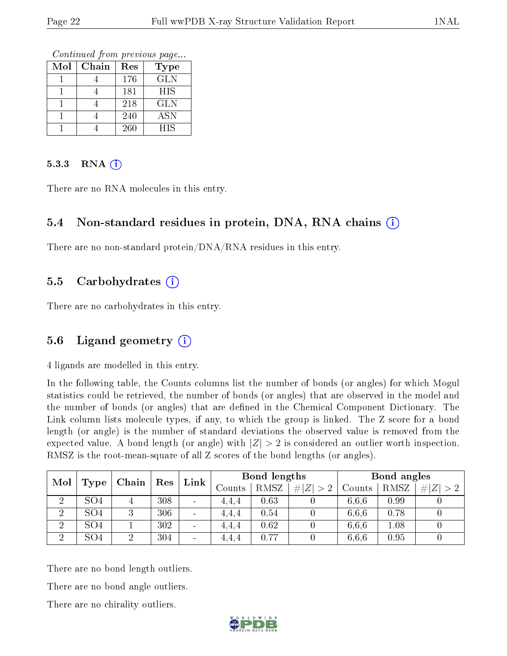Continued from previous page...

| Mol | Chain | Res | Type       |
|-----|-------|-----|------------|
|     |       | 176 | <b>GLN</b> |
|     |       | 181 | <b>HIS</b> |
|     |       | 218 | <b>GLN</b> |
|     |       | 240 | <b>ASN</b> |
|     |       | 260 | <b>HIS</b> |

#### $5.3.3$  RNA  $(i)$

There are no RNA molecules in this entry.

#### 5.4 Non-standard residues in protein, DNA, RNA chains (i)

There are no non-standard protein/DNA/RNA residues in this entry.

#### 5.5 Carbohydrates (i)

There are no carbohydrates in this entry.

#### 5.6 Ligand geometry  $(i)$

4 ligands are modelled in this entry.

In the following table, the Counts columns list the number of bonds (or angles) for which Mogul statistics could be retrieved, the number of bonds (or angles) that are observed in the model and the number of bonds (or angles) that are defined in the Chemical Component Dictionary. The Link column lists molecule types, if any, to which the group is linked. The Z score for a bond length (or angle) is the number of standard deviations the observed value is removed from the expected value. A bond length (or angle) with  $|Z| > 2$  is considered an outlier worth inspection. RMSZ is the root-mean-square of all Z scores of the bond lengths (or angles).

| Mol            |                 | Chain | $\mid$ Res |                          |                   |      |             |        | Link | <b>Bond lengths</b> |  |  | Bond angles |  |  |
|----------------|-----------------|-------|------------|--------------------------|-------------------|------|-------------|--------|------|---------------------|--|--|-------------|--|--|
|                | Type            |       |            |                          | $\mathrm{Counts}$ | RMSZ | # $ Z  > 2$ | Counts | RMSZ | $\# Z $             |  |  |             |  |  |
| 2              | SO4             |       | 308        | $\overline{\phantom{a}}$ | 4.4.4             | 0.63 |             | 6.6.6  | 0.99 |                     |  |  |             |  |  |
| $\overline{2}$ | SO <sub>4</sub> |       | 306        | $\overline{\phantom{a}}$ | 4.4.4             | 0.54 |             | 6.6.6  | 0.78 |                     |  |  |             |  |  |
| $\overline{2}$ | SO <sub>4</sub> |       | 302        | $\overline{\phantom{a}}$ | 4.4.4             | 0.62 |             | 6.6.6  | 1.08 |                     |  |  |             |  |  |
| റ              | SO <sub>4</sub> |       | 304        | $\overline{\phantom{a}}$ | 4.4.4             | 0.77 |             | 6.6.6  | 0.95 |                     |  |  |             |  |  |

There are no bond length outliers.

There are no bond angle outliers.

There are no chirality outliers.

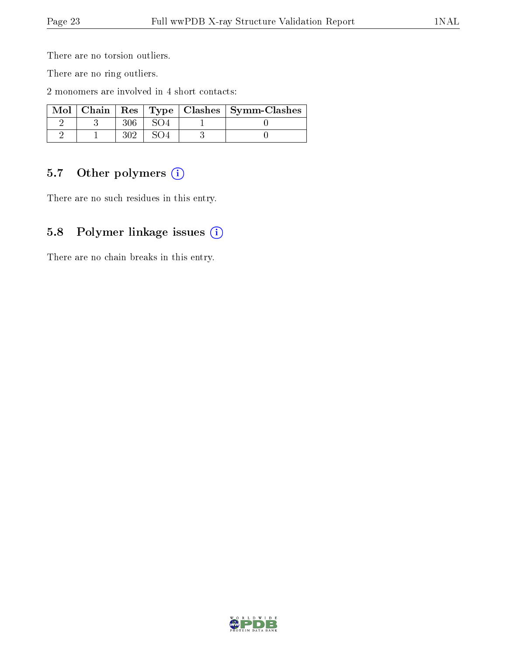There are no torsion outliers.

There are no ring outliers.

2 monomers are involved in 4 short contacts:

|  |  | Mol   Chain   Res   Type   Clashes   Symm-Clashes |
|--|--|---------------------------------------------------|
|  |  |                                                   |
|  |  |                                                   |

### 5.7 [O](https://www.wwpdb.org/validation/2017/XrayValidationReportHelp#nonstandard_residues_and_ligands)ther polymers (i)

There are no such residues in this entry.

#### 5.8 Polymer linkage issues (i)

There are no chain breaks in this entry.

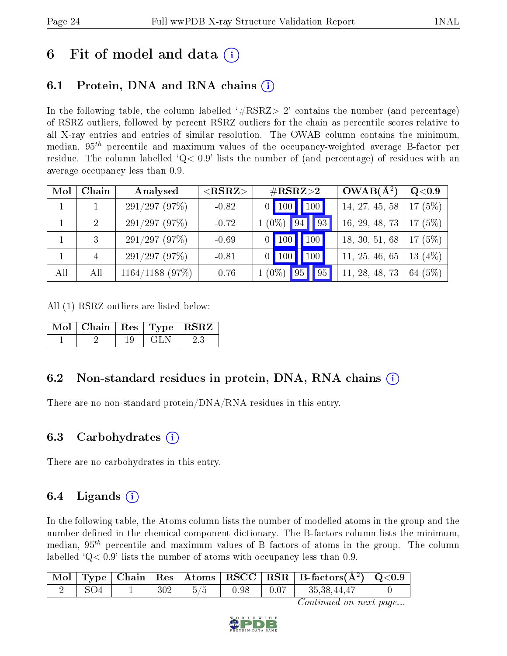## 6 Fit of model and data  $\left( \cdot \right)$

### 6.1 Protein, DNA and RNA chains (i)

In the following table, the column labelled  $#RSRZ> 2'$  contains the number (and percentage) of RSRZ outliers, followed by percent RSRZ outliers for the chain as percentile scores relative to all X-ray entries and entries of similar resolution. The OWAB column contains the minimum, median,  $95<sup>th</sup>$  percentile and maximum values of the occupancy-weighted average B-factor per residue. The column labelled  $Q< 0.9$  lists the number of (and percentage) of residues with an average occupancy less than 0.9.

| Mol | Chain         | Analysed          | $<$ RSRZ $>$ | $\#\text{RSRZ}{>}2$                           | $OWAB(A^2)$    | $\rm Q\textcolor{black}{<}0.9$ |
|-----|---------------|-------------------|--------------|-----------------------------------------------|----------------|--------------------------------|
|     |               | 291/297(97%)      | $-0.82$      | $\sqrt{100}$<br>$\vert$ 100<br>$\overline{0}$ | 14, 27, 45, 58 | (5%)<br>17                     |
|     | $\mathcal{D}$ | 291/297(97%)      | $-0.72$      | $1(0\%)$<br>$\blacksquare$<br> 94             | 16, 29, 48, 73 | (5%)<br>17                     |
|     | 3             | 291/297(97%)      | $-0.69$      | 100<br>0                                      | 18, 30, 51, 68 | (5%)<br>17                     |
|     |               | 291/297(97%)      | $-0.81$      | 100<br>100<br>0                               | 11, 25, 46, 65 | (4%)<br>13                     |
| All | All           | $1164/1188$ (97%) | $-0.76$      | $\sqrt{95}$<br>95<br>$1(0\%)$                 | 11, 28, 48, 73 | 64 (5%)                        |

All (1) RSRZ outliers are listed below:

|  |      | Mol   Chain   Res   Type   RSRZ |
|--|------|---------------------------------|
|  | GL N |                                 |

### 6.2 Non-standard residues in protein, DNA, RNA chains (i)

There are no non-standard protein/DNA/RNA residues in this entry.

#### 6.3 Carbohydrates (i)

There are no carbohydrates in this entry.

### 6.4 Ligands  $(i)$

In the following table, the Atoms column lists the number of modelled atoms in the group and the number defined in the chemical component dictionary. The B-factors column lists the minimum, median,  $95<sup>th</sup>$  percentile and maximum values of B factors of atoms in the group. The column labelled  $Q < 0.9$ ' lists the number of atoms with occupancy less than 0.9.

|     |     |      |      | $\vert$ Mol $\vert$ Type $\vert$ Chain $\vert$ Res $\vert$ Atoms $\vert$ RSCC $\vert$ RSR $\vert$ B-factors(A <sup>2</sup> ) $\vert$ Q<0.9 |  |
|-----|-----|------|------|--------------------------------------------------------------------------------------------------------------------------------------------|--|
| SO4 | 302 | 0.98 | 0.07 | 35,38,44,47                                                                                                                                |  |